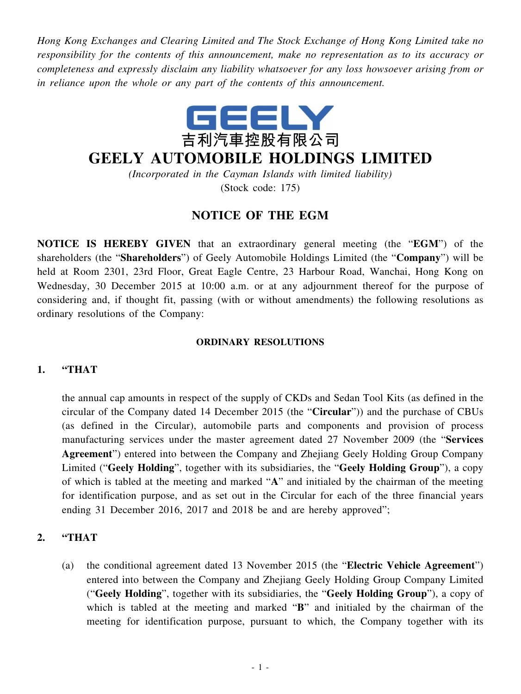*Hong Kong Exchanges and Clearing Limited and The Stock Exchange of Hong Kong Limited take no responsibility for the contents of this announcement, make no representation as to its accuracy or completeness and expressly disclaim any liability whatsoever for any loss howsoever arising from or in reliance upon the whole or any part of the contents of this announcement.*



# **GEELY AUTOMOBILE HOLDINGS LIMITED**

*(Incorporated in the Cayman Islands with limited liability)* (Stock code: 175)

# **NOTICE OF THE EGM**

**NOTICE IS HEREBY GIVEN** that an extraordinary general meeting (the "**EGM**") of the shareholders (the "**Shareholders**") of Geely Automobile Holdings Limited (the "**Company**") will be held at Room 2301, 23rd Floor, Great Eagle Centre, 23 Harbour Road, Wanchai, Hong Kong on Wednesday, 30 December 2015 at 10:00 a.m. or at any adjournment thereof for the purpose of considering and, if thought fit, passing (with or without amendments) the following resolutions as ordinary resolutions of the Company:

#### **ORDINARY RESOLUTIONS**

## **1. "THAT**

the annual cap amounts in respect of the supply of CKDs and Sedan Tool Kits (as defined in the circular of the Company dated 14 December 2015 (the "**Circular**")) and the purchase of CBUs (as defined in the Circular), automobile parts and components and provision of process manufacturing services under the master agreement dated 27 November 2009 (the "**Services Agreement**") entered into between the Company and Zhejiang Geely Holding Group Company Limited ("**Geely Holding**", together with its subsidiaries, the "**Geely Holding Group**"), a copy of which is tabled at the meeting and marked "**A**" and initialed by the chairman of the meeting for identification purpose, and as set out in the Circular for each of the three financial years ending 31 December 2016, 2017 and 2018 be and are hereby approved";

## **2. "THAT**

(a) the conditional agreement dated 13 November 2015 (the "**Electric Vehicle Agreement**") entered into between the Company and Zhejiang Geely Holding Group Company Limited ("**Geely Holding**", together with its subsidiaries, the "**Geely Holding Group**"), a copy of which is tabled at the meeting and marked "**B**" and initialed by the chairman of the meeting for identification purpose, pursuant to which, the Company together with its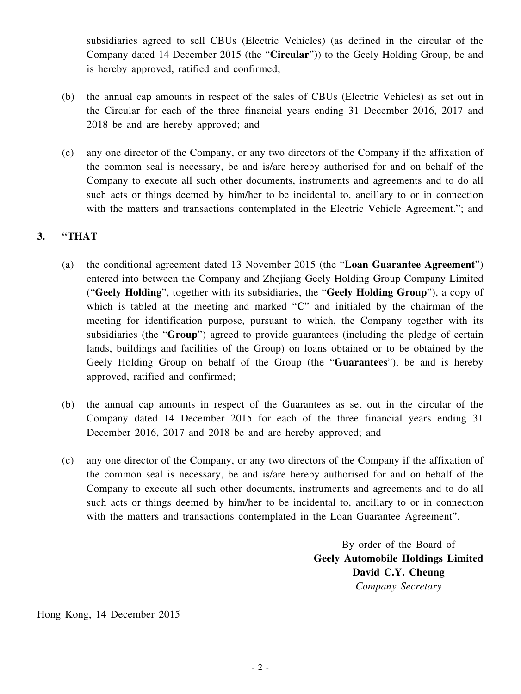subsidiaries agreed to sell CBUs (Electric Vehicles) (as defined in the circular of the Company dated 14 December 2015 (the "**Circular**")) to the Geely Holding Group, be and is hereby approved, ratified and confirmed;

- (b) the annual cap amounts in respect of the sales of CBUs (Electric Vehicles) as set out in the Circular for each of the three financial years ending 31 December 2016, 2017 and 2018 be and are hereby approved; and
- (c) any one director of the Company, or any two directors of the Company if the affixation of the common seal is necessary, be and is/are hereby authorised for and on behalf of the Company to execute all such other documents, instruments and agreements and to do all such acts or things deemed by him/her to be incidental to, ancillary to or in connection with the matters and transactions contemplated in the Electric Vehicle Agreement."; and

#### **3. "THAT**

- (a) the conditional agreement dated 13 November 2015 (the "**Loan Guarantee Agreement**") entered into between the Company and Zhejiang Geely Holding Group Company Limited ("**Geely Holding**", together with its subsidiaries, the "**Geely Holding Group**"), a copy of which is tabled at the meeting and marked "**C**" and initialed by the chairman of the meeting for identification purpose, pursuant to which, the Company together with its subsidiaries (the "**Group**") agreed to provide guarantees (including the pledge of certain lands, buildings and facilities of the Group) on loans obtained or to be obtained by the Geely Holding Group on behalf of the Group (the "**Guarantees**"), be and is hereby approved, ratified and confirmed;
- (b) the annual cap amounts in respect of the Guarantees as set out in the circular of the Company dated 14 December 2015 for each of the three financial years ending 31 December 2016, 2017 and 2018 be and are hereby approved; and
- (c) any one director of the Company, or any two directors of the Company if the affixation of the common seal is necessary, be and is/are hereby authorised for and on behalf of the Company to execute all such other documents, instruments and agreements and to do all such acts or things deemed by him/her to be incidental to, ancillary to or in connection with the matters and transactions contemplated in the Loan Guarantee Agreement".

By order of the Board of **Geely Automobile Holdings Limited David C.Y. Cheung** *Company Secretary*

Hong Kong, 14 December 2015